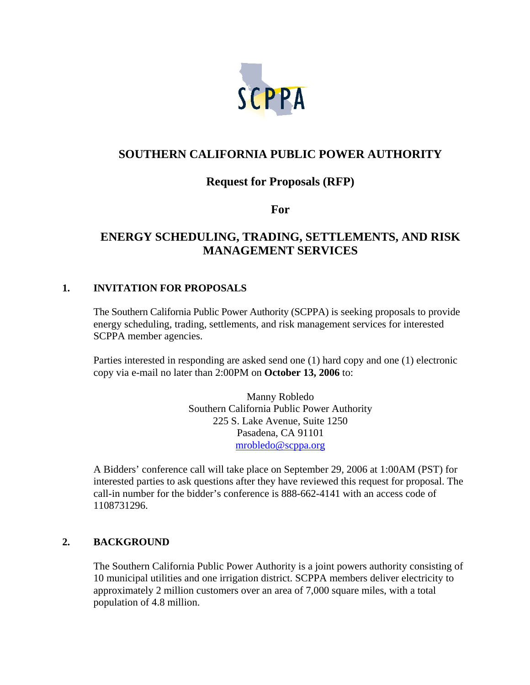

# **SOUTHERN CALIFORNIA PUBLIC POWER AUTHORITY**

## **Request for Proposals (RFP)**

**For** 

# **ENERGY SCHEDULING, TRADING, SETTLEMENTS, AND RISK MANAGEMENT SERVICES**

#### **1. INVITATION FOR PROPOSALS**

 The Southern California Public Power Authority (SCPPA) is seeking proposals to provide energy scheduling, trading, settlements, and risk management services for interested SCPPA member agencies.

 Parties interested in responding are asked send one (1) hard copy and one (1) electronic copy via e-mail no later than 2:00PM on **October 13, 2006** to:

> Manny Robledo Southern California Public Power Authority 225 S. Lake Avenue, Suite 1250 Pasadena, CA 91101 mrobledo@scppa.org

 A Bidders' conference call will take place on September 29, 2006 at 1:00AM (PST) for interested parties to ask questions after they have reviewed this request for proposal. The call-in number for the bidder's conference is 888-662-4141 with an access code of 1108731296.

## **2. BACKGROUND**

The Southern California Public Power Authority is a joint powers authority consisting of 10 municipal utilities and one irrigation district. SCPPA members deliver electricity to approximately 2 million customers over an area of 7,000 square miles, with a total population of 4.8 million.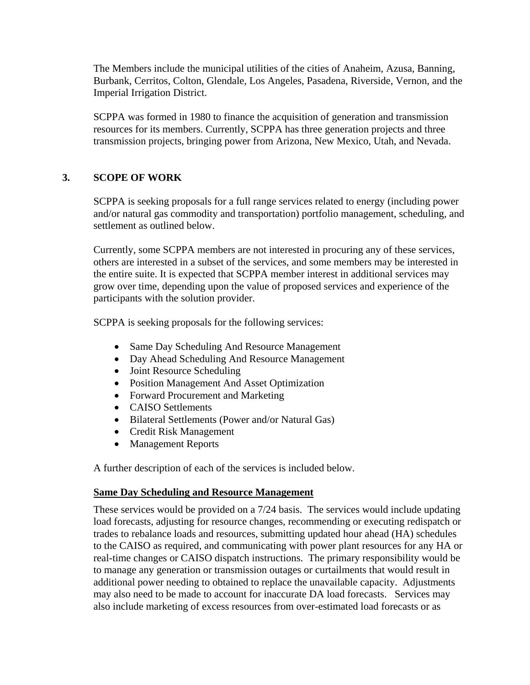The Members include the municipal utilities of the cities of Anaheim, Azusa, Banning, Burbank, Cerritos, Colton, Glendale, Los Angeles, Pasadena, Riverside, Vernon, and the Imperial Irrigation District.

SCPPA was formed in 1980 to finance the acquisition of generation and transmission resources for its members. Currently, SCPPA has three generation projects and three transmission projects, bringing power from Arizona, New Mexico, Utah, and Nevada.

#### **3. SCOPE OF WORK**

SCPPA is seeking proposals for a full range services related to energy (including power and/or natural gas commodity and transportation) portfolio management, scheduling, and settlement as outlined below.

Currently, some SCPPA members are not interested in procuring any of these services, others are interested in a subset of the services, and some members may be interested in the entire suite. It is expected that SCPPA member interest in additional services may grow over time, depending upon the value of proposed services and experience of the participants with the solution provider.

SCPPA is seeking proposals for the following services:

- Same Day Scheduling And Resource Management
- Day Ahead Scheduling And Resource Management
- Joint Resource Scheduling
- Position Management And Asset Optimization
- Forward Procurement and Marketing
- CAISO Settlements
- Bilateral Settlements (Power and/or Natural Gas)
- Credit Risk Management
- Management Reports

A further description of each of the services is included below.

#### **Same Day Scheduling and Resource Management**

These services would be provided on a 7/24 basis. The services would include updating load forecasts, adjusting for resource changes, recommending or executing redispatch or trades to rebalance loads and resources, submitting updated hour ahead (HA) schedules to the CAISO as required, and communicating with power plant resources for any HA or real-time changes or CAISO dispatch instructions. The primary responsibility would be to manage any generation or transmission outages or curtailments that would result in additional power needing to obtained to replace the unavailable capacity. Adjustments may also need to be made to account for inaccurate DA load forecasts. Services may also include marketing of excess resources from over-estimated load forecasts or as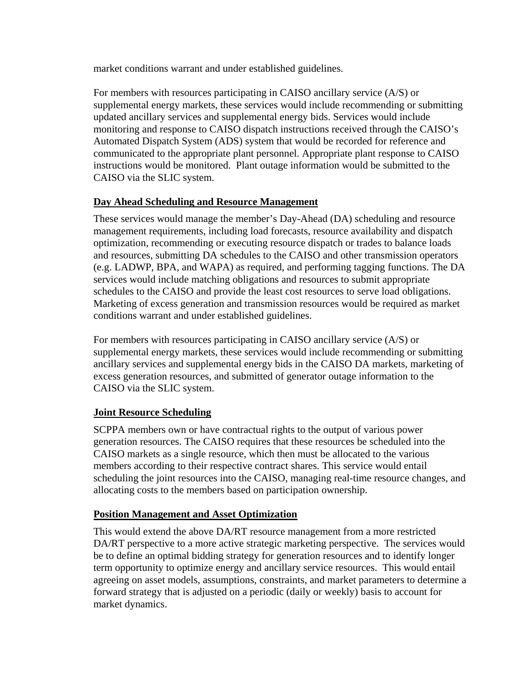market conditions warrant and under established guidelines.

For members with resources participating in CAISO ancillary service (A/S) or supplemental energy markets, these services would include recommending or submitting updated ancillary services and supplemental energy bids. Services would include monitoring and response to CAISO dispatch instructions received through the CAISO's Automated Dispatch System (ADS) system that would be recorded for reference and communicated to the appropriate plant personnel. Appropriate plant response to CAISO instructions would be monitored. Plant outage information would be submitted to the CAISO via the SLIC system.

## **Day Ahead Scheduling and Resource Management**

These services would manage the member's Day-Ahead (DA) scheduling and resource management requirements, including load forecasts, resource availability and dispatch optimization, recommending or executing resource dispatch or trades to balance loads and resources, submitting DA schedules to the CAISO and other transmission operators (e.g. LADWP, BPA, and WAPA) as required, and performing tagging functions. The DA services would include matching obligations and resources to submit appropriate schedules to the CAISO and provide the least cost resources to serve load obligations. Marketing of excess generation and transmission resources would be required as market conditions warrant and under established guidelines.

For members with resources participating in CAISO ancillary service (A/S) or supplemental energy markets, these services would include recommending or submitting ancillary services and supplemental energy bids in the CAISO DA markets, marketing of excess generation resources, and submitted of generator outage information to the CAISO via the SLIC system.

#### **Joint Resource Scheduling**

SCPPA members own or have contractual rights to the output of various power generation resources. The CAISO requires that these resources be scheduled into the CAISO markets as a single resource, which then must be allocated to the various members according to their respective contract shares. This service would entail scheduling the joint resources into the CAISO, managing real-time resource changes, and allocating costs to the members based on participation ownership.

#### **Position Management and Asset Optimization**

This would extend the above DA/RT resource management from a more restricted DA/RT perspective to a more active strategic marketing perspective. The services would be to define an optimal bidding strategy for generation resources and to identify longer term opportunity to optimize energy and ancillary service resources. This would entail agreeing on asset models, assumptions, constraints, and market parameters to determine a forward strategy that is adjusted on a periodic (daily or weekly) basis to account for market dynamics.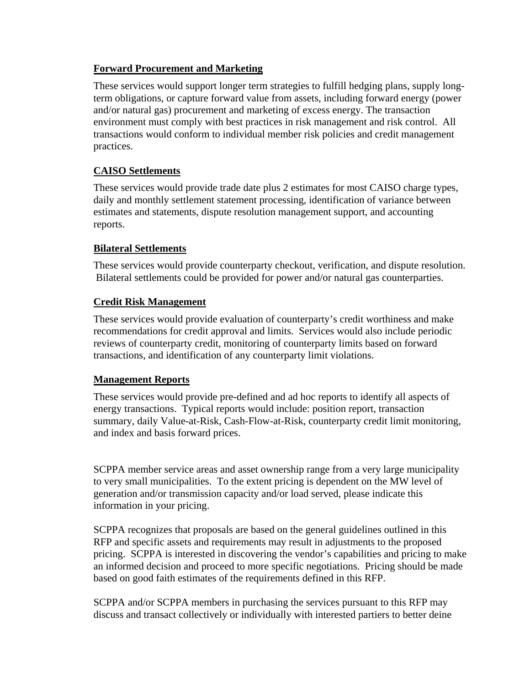## **Forward Procurement and Marketing**

These services would support longer term strategies to fulfill hedging plans, supply longterm obligations, or capture forward value from assets, including forward energy (power and/or natural gas) procurement and marketing of excess energy. The transaction environment must comply with best practices in risk management and risk control. All transactions would conform to individual member risk policies and credit management practices.

## **CAISO Settlements**

These services would provide trade date plus 2 estimates for most CAISO charge types, daily and monthly settlement statement processing, identification of variance between estimates and statements, dispute resolution management support, and accounting reports.

#### **Bilateral Settlements**

These services would provide counterparty checkout, verification, and dispute resolution. Bilateral settlements could be provided for power and/or natural gas counterparties.

## **Credit Risk Management**

These services would provide evaluation of counterparty's credit worthiness and make recommendations for credit approval and limits. Services would also include periodic reviews of counterparty credit, monitoring of counterparty limits based on forward transactions, and identification of any counterparty limit violations.

#### **Management Reports**

These services would provide pre-defined and ad hoc reports to identify all aspects of energy transactions. Typical reports would include: position report, transaction summary, daily Value-at-Risk, Cash-Flow-at-Risk, counterparty credit limit monitoring, and index and basis forward prices.

SCPPA member service areas and asset ownership range from a very large municipality to very small municipalities. To the extent pricing is dependent on the MW level of generation and/or transmission capacity and/or load served, please indicate this information in your pricing.

SCPPA recognizes that proposals are based on the general guidelines outlined in this RFP and specific assets and requirements may result in adjustments to the proposed pricing. SCPPA is interested in discovering the vendor's capabilities and pricing to make an informed decision and proceed to more specific negotiations. Pricing should be made based on good faith estimates of the requirements defined in this RFP.

SCPPA and/or SCPPA members in purchasing the services pursuant to this RFP may discuss and transact collectively or individually with interested partiers to better deine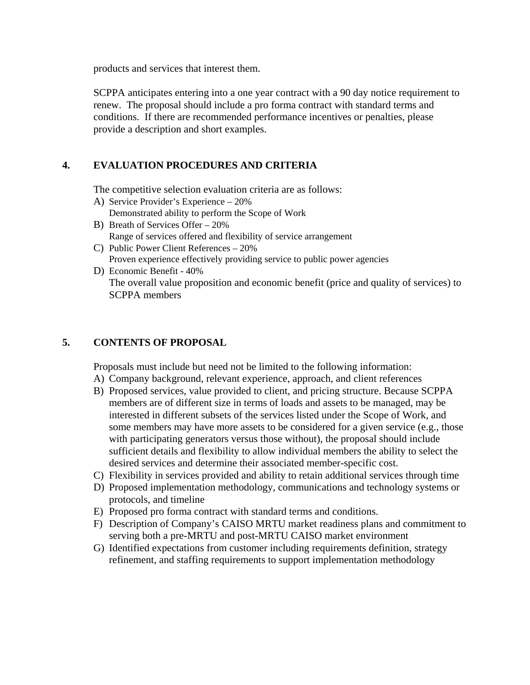products and services that interest them.

SCPPA anticipates entering into a one year contract with a 90 day notice requirement to renew. The proposal should include a pro forma contract with standard terms and conditions. If there are recommended performance incentives or penalties, please provide a description and short examples.

## **4. EVALUATION PROCEDURES AND CRITERIA**

The competitive selection evaluation criteria are as follows:

- A) Service Provider's Experience 20% Demonstrated ability to perform the Scope of Work
- B) Breath of Services Offer 20% Range of services offered and flexibility of service arrangement
- C) Public Power Client References 20% Proven experience effectively providing service to public power agencies
- D) Economic Benefit 40% The overall value proposition and economic benefit (price and quality of services) to SCPPA members

## **5. CONTENTS OF PROPOSAL**

Proposals must include but need not be limited to the following information:

- A) Company background, relevant experience, approach, and client references
- B) Proposed services, value provided to client, and pricing structure. Because SCPPA members are of different size in terms of loads and assets to be managed, may be interested in different subsets of the services listed under the Scope of Work, and some members may have more assets to be considered for a given service (e.g., those with participating generators versus those without), the proposal should include sufficient details and flexibility to allow individual members the ability to select the desired services and determine their associated member-specific cost.
- C) Flexibility in services provided and ability to retain additional services through time
- D) Proposed implementation methodology, communications and technology systems or protocols, and timeline
- E) Proposed pro forma contract with standard terms and conditions.
- F) Description of Company's CAISO MRTU market readiness plans and commitment to serving both a pre-MRTU and post-MRTU CAISO market environment
- G) Identified expectations from customer including requirements definition, strategy refinement, and staffing requirements to support implementation methodology